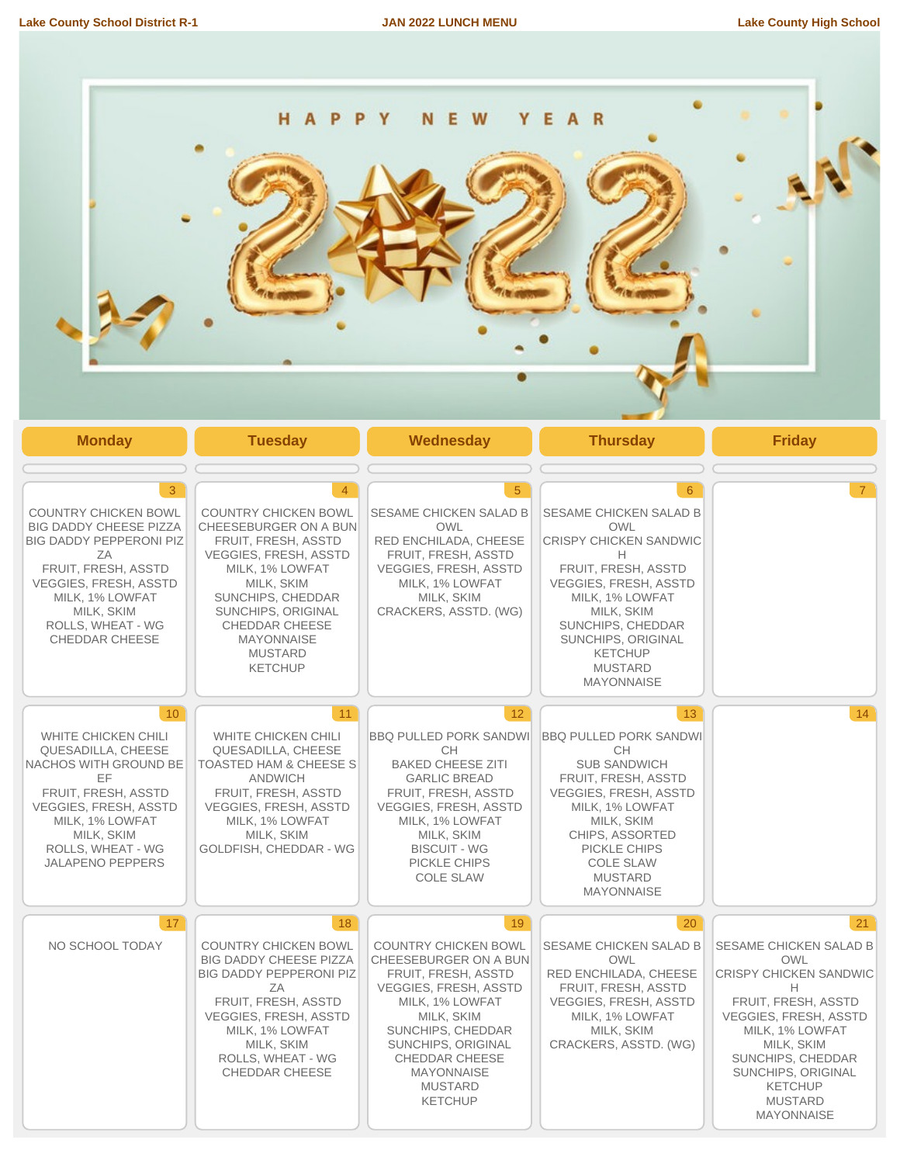

| <b>Monday</b>                                                                                                                                                                                                                                       | <b>Tuesday</b>                                                                                                                                                                                                                                                                              | Wednesday                                                                                                                                                                                                                                                                       | <b>Thursday</b>                                                                                                                                                                                                                                                                       | <b>Friday</b>                                                                                                                                                                                                                                                         |
|-----------------------------------------------------------------------------------------------------------------------------------------------------------------------------------------------------------------------------------------------------|---------------------------------------------------------------------------------------------------------------------------------------------------------------------------------------------------------------------------------------------------------------------------------------------|---------------------------------------------------------------------------------------------------------------------------------------------------------------------------------------------------------------------------------------------------------------------------------|---------------------------------------------------------------------------------------------------------------------------------------------------------------------------------------------------------------------------------------------------------------------------------------|-----------------------------------------------------------------------------------------------------------------------------------------------------------------------------------------------------------------------------------------------------------------------|
| $\mathbf{3}$<br><b>COUNTRY CHICKEN BOWL</b><br><b>BIG DADDY CHEESE PIZZA</b><br><b>BIG DADDY PEPPERONI PIZ</b><br>ZA<br>FRUIT, FRESH, ASSTD<br><b>VEGGIES, FRESH, ASSTD</b><br>MILK, 1% LOWFAT<br>MILK, SKIM<br>ROLLS, WHEAT - WG<br>CHEDDAR CHEESE | $\overline{4}$<br><b>COUNTRY CHICKEN BOWL</b><br>CHEESEBURGER ON A BUN<br>FRUIT, FRESH, ASSTD<br><b>VEGGIES, FRESH, ASSTD</b><br>MILK, 1% LOWFAT<br>MILK, SKIM<br>SUNCHIPS, CHEDDAR<br>SUNCHIPS, ORIGINAL<br><b>CHEDDAR CHEESE</b><br><b>MAYONNAISE</b><br><b>MUSTARD</b><br><b>KETCHUP</b> | $5\overline{)}$<br>SESAME CHICKEN SALAD B<br><b>OWL</b><br>RED ENCHILADA, CHEESE<br><b>FRUIT, FRESH, ASSTD</b><br><b>VEGGIES, FRESH, ASSTD</b><br>MILK, 1% LOWFAT<br>MILK, SKIM<br>CRACKERS, ASSTD. (WG)                                                                        | $6^{\circ}$<br><b>SESAME CHICKEN SALAD B</b><br>OWL<br><b>CRISPY CHICKEN SANDWIC</b><br>Н<br>FRUIT, FRESH, ASSTD<br><b>VEGGIES, FRESH, ASSTD</b><br>MILK, 1% LOWFAT<br>MILK, SKIM<br>SUNCHIPS, CHEDDAR<br>SUNCHIPS, ORIGINAL<br><b>KETCHUP</b><br><b>MUSTARD</b><br><b>MAYONNAISE</b> | $\overline{7}$                                                                                                                                                                                                                                                        |
| 10 <sup>°</sup><br>WHITE CHICKEN CHILI<br>QUESADILLA, CHEESE<br>NACHOS WITH GROUND BE<br>EF<br>FRUIT, FRESH, ASSTD<br><b>VEGGIES, FRESH, ASSTD</b><br>MILK, 1% LOWFAT<br>MILK, SKIM<br>ROLLS, WHEAT - WG<br><b>JALAPENO PEPPERS</b>                 | 11<br><b>WHITE CHICKEN CHILI</b><br>QUESADILLA, CHEESE<br><b>TOASTED HAM &amp; CHEESE S</b><br><b>ANDWICH</b><br>FRUIT, FRESH, ASSTD<br><b>VEGGIES, FRESH, ASSTD</b><br>MILK, 1% LOWFAT<br>MILK, SKIM<br>GOLDFISH, CHEDDAR - WG                                                             | 12<br><b>BBQ PULLED PORK SANDWI</b><br><b>CH</b><br><b>BAKED CHEESE ZITI</b><br><b>GARLIC BREAD</b><br>FRUIT, FRESH, ASSTD<br>VEGGIES, FRESH, ASSTD<br>MILK, 1% LOWFAT<br>MILK, SKIM<br><b>BISCUIT - WG</b><br>PICKLE CHIPS<br><b>COLE SLAW</b>                                 | 13<br><b>BBQ PULLED PORK SANDWI</b><br><b>CH</b><br><b>SUB SANDWICH</b><br>FRUIT, FRESH, ASSTD<br><b>VEGGIES, FRESH, ASSTD</b><br>MILK, 1% LOWFAT<br>MILK, SKIM<br>CHIPS, ASSORTED<br>PICKLE CHIPS<br><b>COLE SLAW</b><br><b>MUSTARD</b><br><b>MAYONNAISE</b>                         | 14                                                                                                                                                                                                                                                                    |
| 17 <sup>2</sup><br>NO SCHOOL TODAY                                                                                                                                                                                                                  | 18<br><b>COUNTRY CHICKEN BOWL</b><br><b>BIG DADDY CHEESE PIZZA</b><br><b>BIG DADDY PEPPERONI PIZ</b><br>ZA<br>FRUIT, FRESH, ASSTD<br><b>VEGGIES, FRESH, ASSTD</b><br>MILK, 1% LOWFAT<br>MILK, SKIM<br>ROLLS, WHEAT - WG<br>CHEDDAR CHEESE                                                   | 19<br><b>COUNTRY CHICKEN BOWL</b><br>CHEESEBURGER ON A BUN<br>FRUIT, FRESH, ASSTD<br><b>VEGGIES, FRESH, ASSTD</b><br>MILK, 1% LOWFAT<br>MILK, SKIM<br>SUNCHIPS, CHEDDAR<br>SUNCHIPS, ORIGINAL<br><b>CHEDDAR CHEESE</b><br><b>MAYONNAISE</b><br><b>MUSTARD</b><br><b>KETCHUP</b> | 20<br><b>SESAME CHICKEN SALAD B</b><br><b>OWL</b><br>RED ENCHILADA, CHEESE<br>FRUIT, FRESH, ASSTD<br><b>VEGGIES, FRESH, ASSTD</b><br>MILK, 1% LOWFAT<br>MILK, SKIM<br>CRACKERS, ASSTD. (WG)                                                                                           | 21<br><b>SESAME CHICKEN SALAD B</b><br>OWL<br>CRISPY CHICKEN SANDWIC<br>Н<br>FRUIT, FRESH, ASSTD<br><b>VEGGIES, FRESH, ASSTD</b><br>MILK, 1% LOWFAT<br>MILK, SKIM<br>SUNCHIPS, CHEDDAR<br>SUNCHIPS, ORIGINAL<br><b>KETCHUP</b><br><b>MUSTARD</b><br><b>MAYONNAISE</b> |